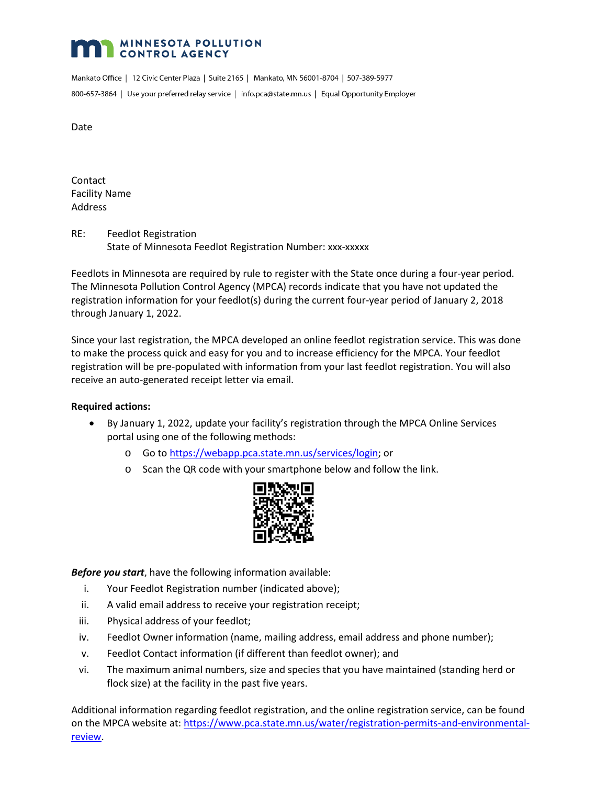## **MINNESOTA POLLUTION CONTROL AGENCY**

Mankato Office | 12 Civic Center Plaza | Suite 2165 | Mankato, MN 56001-8704 | 507-389-5977 800-657-3864 | Use your preferred relay service | info.pca@state.mn.us | Equal Opportunity Employer

Date

**Contact** Facility Name Address

RE: Feedlot Registration State of Minnesota Feedlot Registration Number: xxx-xxxxx

Feedlots in Minnesota are required by rule to register with the State once during a four-year period. The Minnesota Pollution Control Agency (MPCA) records indicate that you have not updated the registration information for your feedlot(s) during the current four-year period of January 2, 2018 through January 1, 2022.

Since your last registration, the MPCA developed an online feedlot registration service. This was done to make the process quick and easy for you and to increase efficiency for the MPCA. Your feedlot registration will be pre-populated with information from your last feedlot registration. You will also receive an auto-generated receipt letter via email.

## **Required actions:**

- By January 1, 2022, update your facility's registration through the MPCA Online Services portal using one of the following methods:
	- o Go to [https://webapp.pca.state.mn.us/services/login;](https://webapp.pca.state.mn.us/services/login) or
	- o Scan the QR code with your smartphone below and follow the link.



*Before you start*, have the following information available:

- i. Your Feedlot Registration number (indicated above);
- ii. A valid email address to receive your registration receipt;
- iii. Physical address of your feedlot;
- iv. Feedlot Owner information (name, mailing address, email address and phone number);
- v. Feedlot Contact information (if different than feedlot owner); and
- vi. The maximum animal numbers, size and species that you have maintained (standing herd or flock size) at the facility in the past five years.

Additional information regarding feedlot registration, and the online registration service, can be found on the MPCA website at: [https://www.pca.state.mn.us/water/registration-permits-and-environmental](https://www.pca.state.mn.us/water/registration-permits-and-environmental-review)[review.](https://www.pca.state.mn.us/water/registration-permits-and-environmental-review)